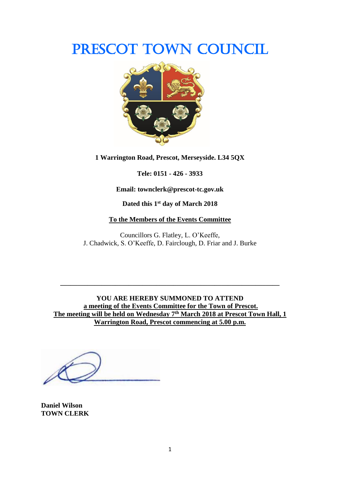# PRESCOT TOWN COUNCIL



**1 Warrington Road, Prescot, Merseyside. L34 5QX**

**Tele: 0151 - 426 - 3933**

**Email: townclerk@prescot-tc.gov.uk**

**Dated this 1 st day of March 2018**

#### **To the Members of the Events Committee**

Councillors G. Flatley, L. O'Keeffe, J. Chadwick, S. O'Keeffe, D. Fairclough, D. Friar and J. Burke

**YOU ARE HEREBY SUMMONED TO ATTEND a meeting of the Events Committee for the Town of Prescot. The meeting will be held on Wednesday 7 th March 2018 at Prescot Town Hall, 1 Warrington Road, Prescot commencing at 5.00 p.m.**

**\_\_\_\_\_\_\_\_\_\_\_\_\_\_\_\_\_\_\_\_\_\_\_\_\_\_\_\_\_\_\_\_\_\_\_\_\_\_\_\_\_\_\_\_\_\_\_\_\_\_\_\_\_\_\_\_\_\_\_\_\_\_\_\_**

**Daniel Wilson TOWN CLERK**